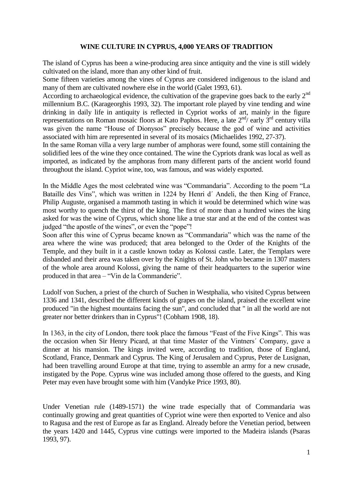# **WINE CULTURE IN CYPRUS, 4,000 YEARS OF TRADITION**

The island of Cyprus has been a wine-producing area since antiquity and the vine is still widely cultivated on the island, more than any other kind of fruit.

Some fifteen varieties among the vines of Cyprus are considered indigenous to the island and many of them are cultivated nowhere else in the world (Galet 1993, 61).

According to archaeological evidence, the cultivation of the grapevine goes back to the early  $2<sup>nd</sup>$ millennium B.C. (Karageorghis 1993, 32). The important role played by vine tending and wine drinking in daily life in antiquity is reflected in Cypriot works of art, mainly in the figure representations on Roman mosaic floors at Kato Paphos. Here, a late  $2<sup>nd</sup>$  early  $3<sup>rd</sup>$  century villa was given the name "House of Dionysos" precisely because the god of wine and activities associated with him are represented in several of its mosaics (Michaelides 1992, 27-37).

In the same Roman villa a very large number of amphoras were found, some still containing the solidified lees of the wine they once contained. The wine the Cypriots drank was local as well as imported, as indicated by the amphoras from many different parts of the ancient world found throughout the island. Cypriot wine, too, was famous, and was widely exported.

In the Middle Ages the most celebrated wine was "Commandaria". According to the poem "La Bataille des Vins", which was written in 1224 by Henri d'Andeli, the then King of France, Philip Auguste, organised a mammoth tasting in which it would be determined which wine was most worthy to quench the thirst of the king. The first of more than a hundred wines the king asked for was the wine of Cyprus, which shone like a true star and at the end of the contest was judged "the apostle of the wines", or even the "pope"!

Soon after this wine of Cyprus became known as "Commandaria" which was the name of the area where the wine was produced; that area belonged to the Order of the Knights of the Temple, and they built in it a castle known today as Kolossi castle. Later, the Templars were disbanded and their area was taken over by the Knights of St. John who became in 1307 masters of the whole area around Kolossi, giving the name of their headquarters to the superior wine produced in that area – "Vin de la Commanderie".

Ludolf von Suchen, a priest of the church of Suchen in Westphalia, who visited Cyprus between 1336 and 1341, described the different kinds of grapes on the island, praised the excellent wine produced "in the highest mountains facing the sun", and concluded that " in all the world are not greater nor better drinkers than in Cyprus"! (Cobham 1908, 18).

In 1363, in the city of London, there took place the famous "Feast of the Five Kings". This was the occasion when Sir Henry Picard, at that time Master of the Vintners´ Company, gave a dinner at his mansion. The kings invited were, according to tradition, those of England, Scotland, France, Denmark and Cyprus. The King of Jerusalem and Cyprus, Peter de Lusignan, had been travelling around Europe at that time, trying to assemble an army for a new crusade, instigated by the Pope. Cyprus wine was included among those offered to the guests, and King Peter may even have brought some with him (Vandyke Price 1993, 80).

Under Venetian rule (1489-1571) the wine trade especially that of Commandaria was continually growing and great quantities of Cypriot wine were then exported to Venice and also to Ragusa and the rest of Europe as far as England. Already before the Venetian period, between the years 1420 and 1445, Cyprus vine cuttings were imported to the Madeira islands (Psaras 1993, 97).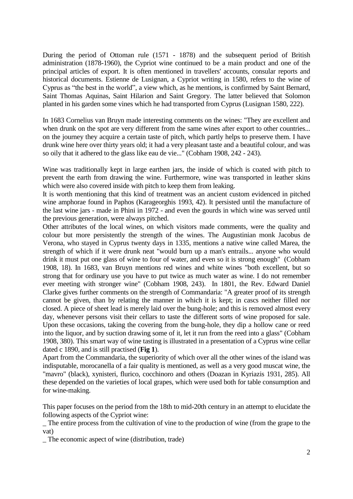During the period of Ottoman rule (1571 - 1878) and the subsequent period of British administration (1878-1960), the Cypriot wine continued to be a main product and one of the principal articles of export. It is often mentioned in travellers' accounts, consular reports and historical documents. Estienne de Lusignan, a Cypriot writing in 1580, refers to the wine of Cyprus as "the best in the world", a view which, as he mentions, is confirmed by Saint Bernard, Saint Thomas Aquinas, Saint Hilarion and Saint Gregory. The latter believed that Solomon planted in his garden some vines which he had transported from Cyprus (Lusignan 1580, 222).

In 1683 Cornelius van Bruyn made interesting comments on the wines: "They are excellent and when drunk on the spot are very different from the same wines after export to other countries... on the journey they acquire a certain taste of pitch, which partly helps to preserve them. I have drunk wine here over thirty years old; it had a very pleasant taste and a beautiful colour, and was so oily that it adhered to the glass like eau de vie..." (Cobham 1908, 242 - 243).

Wine was traditionally kept in large earthen jars, the inside of which is coated with pitch to prevent the earth from drawing the wine. Furthermore, wine was transported in leather skins which were also covered inside with pitch to keep them from leaking.

It is worth mentioning that this kind of treatment was an ancient custom evidenced in pitched wine amphorae found in Paphos (Karageorghis 1993, 42). It persisted until the manufacture of the last wine jars - made in Phini in 1972 - and even the gourds in which wine was served until the previous generation, were always pitched.

Other attributes of the local wines, on which visitors made comments, were the quality and colour but more persistently the strength of the wines. The Augustinian monk Jacobus de Verona, who stayed in Cyprus twenty days in 1335, mentions a native wine called Marea, the strength of which if it were drunk neat "would burn up a man's entrails... anyone who would drink it must put one glass of wine to four of water, and even so it is strong enough" (Cobham 1908, 18). In 1683, van Bruyn mentions red wines and white wines "both excellent, but so strong that for ordinary use you have to put twice as much water as wine. I do not remember ever meeting with stronger wine" (Cobham 1908, 243). In 1801, the Rev. Edward Daniel Clarke gives further comments on the strength of Commandaria: "A greater proof of its strength cannot be given, than by relating the manner in which it is kept; in cascs neither filled nor closed. A piece of sheet lead is merely laid over the bung-hole; and this is removed almost every day, whenever persons visit their cellars to taste the different sorts of wine proposed for sale. Upon these occasions, taking the covering from the bung-hole, they dip a hollow cane or reed into the liquor, and by suction drawing some of it, let it run from the reed into a glass" (Cobham 1908, 380). This smart way of wine tasting is illustrated in a presentation of a Cyprus wine cellar dated c 1890, and is still practised (**Fig 1**).

Apart from the Commandaria, the superiority of which over all the other wines of the island was indisputable, morocanella of a fair quality is mentioned, as well as a very good muscat wine, the "mavro" (black), xynisteri, flurico, cocchinoro and others (Doazan in Kyriazis 1931, 285). All these depended on the varieties of local grapes, which were used both for table consumption and for wine-making.

This paper focuses on the period from the 18th to mid-20th century in an attempt to elucidate the following aspects of the Cypriot wine:

\_ The entire process from the cultivation of vine to the production of wine (from the grape to the vat)

\_ The economic aspect of wine (distribution, trade)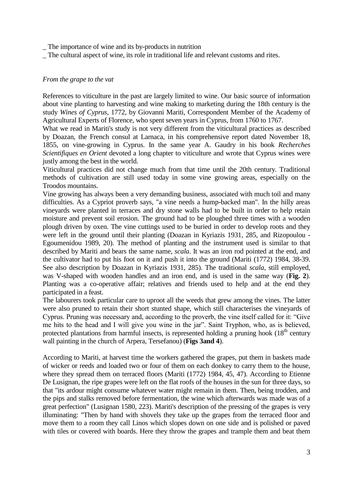\_ The importance of wine and its by-products in nutrition

\_ The cultural aspect of wine, its role in traditional life and relevant customs and rites.

## *From the grape to the vat*

References to viticulture in the past are largely limited to wine. Our basic source of information about vine planting to harvesting and wine making to marketing during the 18th century is the study *Wines of Cyprus*, 1772, by Giovanni Mariti, Correspondent Member of the Academy of Agricultural Experts of Florence, who spent seven years in Cyprus, from 1760 to 1767.

What we read in Mariti's study is not very different from the viticultural practices as described by Doazan, the French consul at Larnaca, in his comprehensive report dated November 18, 1855, on vine-growing in Cyprus. In the same year A. Gaudry in his book *Recherches Scientifiques en Orient* devoted a long chapter to viticulture and wrote that Cyprus wines were justly among the best in the world.

Viticultural practices did not change much from that time until the 20th century. Traditional methods of cultivation are still used today in some vine growing areas, especially on the Troodos mountains.

Vine growing has always been a very demanding business, associated with much toil and many difficulties. As a Cypriot proverb says, "a vine needs a hump-backed man". In the hilly areas vineyards were planted in terraces and dry stone walls had to be built in order to help retain moisture and prevent soil erosion. The ground had to be ploughed three times with a wooden plough driven by oxen. The vine cuttings used to be buried in order to develop roots and they were left in the ground until their planting (Doazan in Kyriazis 1931, 285, and Rizopoulou - Egoumenidou 1989, 20). The method of planting and the instrument used is similar to that described by Mariti and bears the same name, *scala*. It was an iron rod pointed at the end, and the cultivator had to put his foot on it and push it into the ground (Mariti (1772) 1984, 38-39. See also description by Doazan in Kyriazis 1931, 285). The traditional *scala*, still employed, was V-shaped with wooden handles and an iron end, and is used in the same way (**Fig. 2**). Planting was a co-operative affair; relatives and friends used to help and at the end they participated in a feast.

The labourers took particular care to uproot all the weeds that grew among the vines. The latter were also pruned to retain their short stunted shape, which still characterises the vineyards of Cyprus. Pruning was necessary and, according to the proverb, the vine itself called for it: "Give me hits to the head and I will give you wine in the jar". Saint Tryphon, who, as is believed, protected plantations from harmful insects, is represented holding a pruning hook  $(18<sup>th</sup>$  century wall painting in the church of Arpera, Tersefanou) (**Figs 3and 4**).

According to Mariti, at harvest time the workers gathered the grapes, put them in baskets made of wicker or reeds and loaded two or four of them on each donkey to carry them to the house, where they spread them on terraced floors (Mariti (1772) 1984, 45, 47). According to Etienne De Lusignan, the ripe grapes were left on the flat roofs of the houses in the sun for three days, so that "its ardour might consume whatever water might remain in them. Then, being trodden, and the pips and stalks removed before fermentation, the wine which afterwards was made was of a great perfection" (Lusignan 1580, 223). Mariti's description of the pressing of the grapes is very illuminating: "Then by hand with shovels they take up the grapes from the terraced floor and move them to a room they call Linos which slopes down on one side and is polished or paved with tiles or covered with boards. Here they throw the grapes and trample them and beat them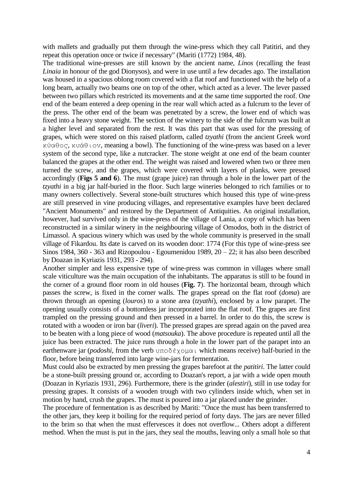with mallets and gradually put them through the wine-press which they call Patitiri, and they repeat this operation once or twice if necessary" (Mariti (1772) 1984, 48).

The traditional wine-presses are still known by the ancient name, *Linos* (recalling the feast *Linaia* in honour of the god Dionysos), and were in use until a few decades ago. The installation was housed in a spacious oblong room covered with a flat roof and functioned with the help of a long beam, actually two beams one on top of the other, which acted as a lever. The lever passed between two pillars which restricted its movements and at the same time supported the roof. One end of the beam entered a deep opening in the rear wall which acted as a fulcrum to the lever of the press. The other end of the beam was penetrated by a screw, the lower end of which was fixed into a heavy stone weight. The section of the winery to the side of the fulcrum was built at a higher level and separated from the rest. It was this part that was used for the pressing of grapes, which were stored on this raised platform, called *tzyathi* (from the ancient Greek word κύαθoς, κυάθιov, meaning a bowl). The functioning of the wine-press was based on a lever system of the second type, like a nutcracker. The stone weight at one end of the beam counter balanced the grapes at the other end. The weight was raised and lowered when two or three men turned the screw, and the grapes, which were covered with layers of planks, were pressed accordingly (**Figs 5 and 6**). The must (grape juice) ran through a hole in the lower part of the *tzyathi* in a big jar half-buried in the floor. Such large wineries belonged to rich families or to many owners collectively. Several stone-built structures which housed this type of wine-press are still preserved in vine producing villages, and representative examples have been declared "Ancient Monuments" and restored by the Department of Antiquities. An original installation, however, had survived only in the wine-press of the village of Lania, a copy of which has been reconstructed in a similar winery in the neighbouring village of Omodos, both in the district of Limassol. A spacious winery which was used by the whole community is preserved in the small village of Fikardou. Its date is carved on its wooden door: 1774 (For this type of wine-press see Sinos 1984, 360 - 363 and Rizopoulou - Egoumenidou 1989,  $20 - 22$ ; it has also been described by Doazan in Kyriazis 1931, 293 - 294).

Another simpler and less expensive type of wine-press was common in villages where small scale viticulture was the main occupation of the inhabitants. The apparatus is still to be found in the corner of a ground floor room in old houses (**Fig. 7**). The horizontal beam, through which passes the screw, is fixed in the corner walls. The grapes spread on the flat roof (*doma*) are thrown through an opening (*louros*) to a stone area (*tzyathi*), enclosed by a low parapet. The opening usually consists of a bottomless jar incorporated into the flat roof. The grapes are first trampled on the pressing ground and then pressed in a barrel. In order to do this, the screw is rotated with a wooden or iron bar (*liveri*). The pressed grapes are spread again on the paved area to be beaten with a long piece of wood (*matsouka*). The above procedure is repeated until all the juice has been extracted. The juice runs through a hole in the lower part of the parapet into an earthenware jar (*podoshi*, from the verb υπoδέχoμαι which means receive) half-buried in the floor, before being transferred into large wine-jars for fermentation.

Must could also be extracted by men pressing the grapes barefoot at the *patitiri*. The latter could be a stone-built pressing ground or, according to Doazan's report, a jar with a wide open mouth (Doazan in Kyriazis 1931, 296). Furthermore, there is the grinder (*alestiri*), still in use today for pressing grapes. It consists of a wooden trough with two cylinders inside which, when set in motion by hand, crush the grapes. The must is poured into a jar placed under the grinder.

The procedure of fermentation is as described by Mariti: "Once the must has been transferred to the other jars, they keep it boiling for the required period of forty days. The jars are never filled to the brim so that when the must effervesces it does not overflow... Others adopt a different method. When the must is put in the jars, they seal the mouths, leaving only a small hole so that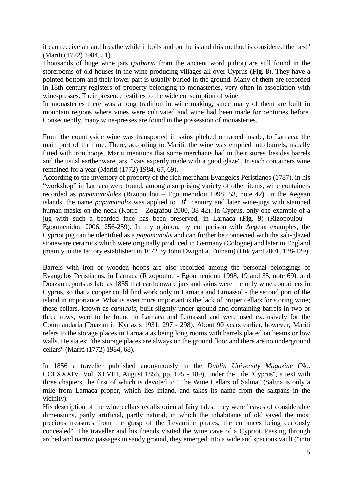it can receive air and breathe while it boils and on the island this method is considered the best" (Mariti (1772) 1984, 51).

Thousands of huge wine jars (*pitharia* from the ancient word pithoi) are still found in the storerooms of old houses in the wine producing villages all over Cyprus (**Fig. 8**). They have a pointed bottom and their lower part is usually buried in the ground. Many of them are recorded in 18th century registers of property belonging to monasteries, very often in association with wine-presses. Their presence testifies to the wide consumption of wine.

In monasteries there was a long tradition in wine making, since many of them are built in mountain regions where vines were cultivated and wine had been made for centuries before. Consequently, many wine-presses are found in the possession of monasteries.

From the countryside wine was transported in skins pitched or tarred inside, to Larnaca, the main port of the time. There, according to Mariti, the wine was emptied into barrels, usually fitted with iron hoops. Mariti mentions that some merchants had in their stores, besides barrels and the usual earthenware jars, "vats expertly made with a good glaze". In such containers wine remained for a year (Mariti (1772) 1984, 67, 69).

According to the inventory of property of the rich merchant Evangelos Peristianos (1787), in his "workshop" in Larnaca were found, among a surprising variety of other items, wine containers recorded as *papamanolides* (Rizopoulou – Egoumenidou 1998, 53, note 42). In the Aegean islands, the name *papamanolis* was applied to 18<sup>th</sup> century and later wine-jugs with stamped human masks on the neck (Korre – Zografou 2000, 38-42). In Cyprus, only one example of a jug with such a bearded face has been preserved, in Larnaca (**Fig. 9**) (Rizopoulou – Egoumenidou 2006, 256-259). In my opinion, by comparison with Aegean examples, the Cypriot jug can be identified as a *papamanolis* and can further be connected with the salt-glazed stoneware ceramics which were originally produced in Germany (Cologne) and later in England (mainly in the factory established in 1672 by John Dwight at Fulham) (Hildyard 2001, 128-129).

Barrels with iron or wooden hoops are also recorded among the personal belongings of Evangelos Peristianos, in Larnaca (Rizopoulou - Egoumenidou 1998, 19 and 35, note 69), and Doazan reports as late as 1855 that earthenware jars and skins were the only wine containers in Cyprus, so that a cooper could find work only in Larnaca and Limassol - the second port of the island in importance. What is even more important is the lack of proper cellars for storing wine; these cellars, known as *cannabis*, built slightly under ground and containing barrels in two or three rows, were to be found in Larnaca and Limassol and were used exclusively for the Commandaria (Doazan in Kyriazis 1931, 297 - 298). About 90 years earlier, however, Mariti refers to the storage places in Larnaca as being long rooms with barrels placed on beams or low walls. He states: "the storage places are always on the ground floor and there are no underground cellars" (Mariti (1772) 1984, 68).

In 1856 a traveller published anonymously in the *Dublin University Magazine* (No. CCLXXXIV, Vol. XLVIII, August 1856, pp. 175 - 189), under the title "Cyprus", a text with three chapters, the first of which is devoted to "The Wine Cellars of Salina" (Salina is only a mile from Larnaca proper, which lies inland, and takes its name from the saltpans in the vicinity).

His description of the wine cellars recalls oriental fairy tales; they were "caves of considerable dimensions, partly artificial, partly natural, in which the inhabitants of old saved the most precious treasures from the grasp of the Levantine pirates, the entrances being curiously concealed". The traveller and his friends visited the wine cave of a Cypriot. Passing through arched and narrow passages in sandy ground, they emerged into a wide and spacious vault ("into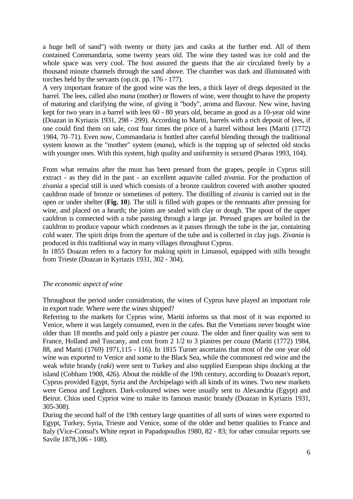a huge bell of sand") with twenty or thirty jars and casks at the further end. All of them contained Commandaria, some twenty years old. The wine they tasted was ice cold and the whole space was very cool. The host assured the guests that the air circulated freely by a thousand minute channels through the sand above. The chamber was dark and illuminated with torches held by the servants (op.cit. pp. 176 - 177).

A very important feature of the good wine was the lees, a thick layer of dregs deposited in the barrel. The lees, called also *mana* (mother) or flowers of wine, were thought to have the property of maturing and clarifying the wine, of giving it "body", aroma and flavour. New wine, having kept for two years in a barrel with lees 60 - 80 years old, became as good as a 10-year old wine (Doazan in Kyriazis 1931, 298 - 299). According to Mariti, barrels with a rich deposit of lees, if one could find them on sale, cost four times the price of a barrel without lees (Mariti (1772) 1984, 70–71). Even now, Commandaria is bottled after careful blending through the traditional system known as the "mother" system (*mana*), which is the topping up of selected old stocks with younger ones. With this system, high quality and uniformity is secured (Psaras 1993, 104).

From what remains after the must has been pressed from the grapes, people in Cyprus still extract - as they did in the past - an excellent aquavite called *zivania*. For the production of *zivania* a special still is used which consists of a bronze cauldron covered with another spouted cauldron made of bronze or sometimes of pottery. The distilling of *zivania* is carried out in the open or under shelter (**Fig. 10**). The still is filled with grapes or the remnants after pressing for wine, and placed on a hearth; the joints are sealed with clay or dough. The spout of the upper cauldron is connected with a tube passing through a large jar. Pressed grapes are boiled in the cauldron to produce vapour which condenses as it passes through the tube in the jar, containing cold water. The spirit drips from the aperture of the tube and is collected in clay jugs. *Zivania* is produced in this traditional way in many villages throughout Cyprus.

In 1855 Doazan refers to a factory for making spirit in Limassol, equipped with stills brought from Trieste (Doazan in Kyriazis 1931, 302 - 304).

### *The economic aspect of wine*

Throughout the period under consideration, the wines of Cyprus have played an important role in export trade. Where were the wines shipped?

Referring to the markets for Cyprus wine, Mariti informs us that most of it was exported to Venice, where it was largely consumed, even in the cafes. But the Venetians never bought wine older than 18 months and paid only a piastre per *couza*. The older and finer quality was sent to France, Holland and Tuscany, and cost from 2 1/2 to 3 piastres per *couza* (Mariti (1772) 1984, 88, and Mariti (1769) 1971,115 - 116). In 1815 Turner ascertains that most of the one year old wine was exported to Venice and some to the Black Sea, while the commonest red wine and the weak white brandy (*raki*) were sent to Turkey and also supplied European ships docking at the island (Cobham 1908, 426). About the middle of the 19th century, according to Doazan's report, Cyprus provided Egypt, Syria and the Archipelago with all kinds of its wines. Two new markets were Genoa and Leghorn. Dark-coloured wines were usually sent to Alexandria (Egypt) and Beirut. Chios used Cypriot wine to make its famous mastic brandy (Doazan in Kyriazis 1931, 305-308).

During the second half of the 19th century large quantities of all sorts of wines were exported to Egypt, Turkey, Syria, Trieste and Venice, some of the older and better qualities to France and Italy (Vice-Consul's White report in Papadopoullos 1980, 82 - 83; for other consular reports see Savile 1878,106 - 108).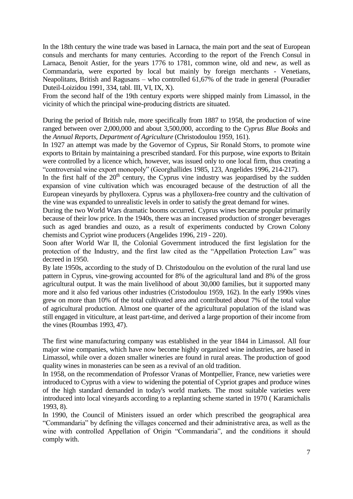In the 18th century the wine trade was based in Larnaca, the main port and the seat of European consuls and merchants for many centuries. According to the report of the French Consul in Larnaca, Benoit Astier, for the years 1776 to 1781, common wine, old and new, as well as Commandaria, were exported by local but mainly by foreign merchants - Venetians, Neapolitans, British and Ragusans – who controlled 61,67% of the trade in general (Pouradier Duteil-Loizidou 1991, 334, tabl. III, VI, IX, X).

From the second half of the 19th century exports were shipped mainly from Limassol, in the vicinity of which the principal wine-producing districts are situated.

During the period of British rule, more specifically from 1887 to 1958, the production of wine ranged between over 2,000,000 and about 3,500,000, according to the *Cyprus Blue Books* and the *Annual Reports*, *Department of Agriculture* (Christodoulou 1959, 161).

In 1927 an attempt was made by the Governor of Cyprus, Sir Ronald Storrs, to promote wine exports to Britain by maintaining a prescribed standard. For this purpose, wine exports to Britain were controlled by a licence which, however, was issued only to one local firm, thus creating a "controversial wine export monopoly" (Georghallides 1985, 123, Angelides 1996, 214-217).

In the first half of the  $20<sup>th</sup>$  century, the Cyprus vine industry was jeopardised by the sudden expansion of vine cultivation which was encouraged because of the destruction of all the European vineyards by phylloxera. Cyprus was a phylloxera-free country and the cultivation of the vine was expanded to unrealistic levels in order to satisfy the great demand for wines.

During the two World Wars dramatic booms occurred. Cyprus wines became popular primarily because of their low price. In the 1940s, there was an increased production of stronger beverages such as aged brandies and ouzo, as a result of experiments conducted by Crown Colony chemists and Cypriot wine producers (Angelides 1996, 219 - 220).

Soon after World War II, the Colonial Government introduced the first legislation for the protection of the Industry, and the first law cited as the "Appellation Protection Law" was decreed in 1950.

By late 1950s, according to the study of D. Christodoulou on the evolution of the rural land use pattern in Cyprus, vine-growing accounted for 8% of the agricultural land and 8% of the gross agricultural output. It was the main livelihood of about 30,000 families, but it supported many more and it also fed various other industries (Cristodoulou 1959, 162). In the early 1990s vines grew on more than 10% of the total cultivated area and contributed about 7% of the total value of agricultural production. Almost one quarter of the agricultural population of the island was still engaged in viticulture, at least part-time, and derived a large proportion of their income from the vines (Roumbas 1993, 47).

The first wine manufacturing company was established in the year 1844 in Limassol. All four major wine companies, which have now become highly organized wine industries, are based in Limassol, while over a dozen smaller wineries are found in rural areas. The production of good quality wines in monasteries can be seen as a revival of an old tradition.

In 1958, on the recommendation of Professor Vranas of Montpellier, France, new varieties were introduced to Cyprus with a view to widening the potential of Cypriot grapes and produce wines of the high standard demanded in today's world markets. The most suitable varieties were introduced into local vineyards according to a replanting scheme started in 1970 ( Karamichalis 1993, 8).

In 1990, the Council of Ministers issued an order which prescribed the geographical area "Commandaria" by defining the villages concerned and their administrative area, as well as the wine with controlled Appellation of Origin "Commandaria", and the conditions it should comply with.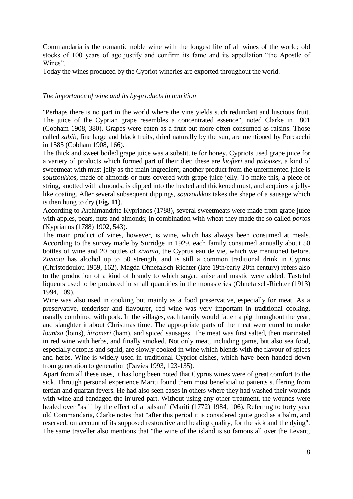Commandaria is the romantic noble wine with the longest life of all wines of the world; old stocks of 100 years of age justify and confirm its fame and its appellation "the Apostle of Wines".

Today the wines produced by the Cypriot wineries are exported throughout the world.

## *The importance of wine and its by-products in nutrition*

"Perhaps there is no part in the world where the vine yields such redundant and luscious fruit. The juice of the Cyprian grape resembles a concentrated essence", noted Clarke in 1801 (Cobham 1908, 380). Grapes were eaten as a fruit but more often consumed as raisins. Those called *zabib*, fine large and black fruits, dried naturally by the sun, are mentioned by Porcacchi in 1585 (Cobham 1908, 166).

The thick and sweet boiled grape juice was a substitute for honey. Cypriots used grape juice for a variety of products which formed part of their diet; these are *kiofteri* and *palouzes*, a kind of sweetmeat with must-jelly as the main ingredient; another product from the unfermented juice is *soutzoukkos*, made of almonds or nuts covered with grape juice jelly. To make this, a piece of string, knotted with almonds, is dipped into the heated and thickened must, and acquires a jellylike coating. After several subsequent dippings, *soutzoukkos* takes the shape of a sausage which is then hung to dry (**Fig. 11**).

According to Archimandrite Kyprianos (1788), several sweetmeats were made from grape juice with apples, pears, nuts and almonds; in combination with wheat they made the so called *portos* (Kyprianos (1788) 1902, 543).

The main product of vines, however, is wine, which has always been consumed at meals. According to the survey made by Surridge in 1929, each family consumed annually about 50 bottles of wine and 20 bottles of *zivania*, the Cyprus eau de vie, which we mentioned before. *Zivania* has alcohol up to 50 strength, and is still a common traditional drink in Cyprus (Christodoulou 1959, 162). Magda Ohnefalsch-Richter (late 19th/early 20th century) refers also to the production of a kind of brandy to which sugar, anise and mastic were added. Tasteful liqueurs used to be produced in small quantities in the monasteries (Ohnefalsch-Richter (1913) 1994, 109).

Wine was also used in cooking but mainly as a food preservative, especially for meat. As a preservative, tenderiser and flavourer, red wine was very important in traditional cooking, usually combined with pork. In the villages, each family would fatten a pig throughout the year, and slaughter it about Christmas time. The appropriate parts of the meat were cured to make *lountza* (loins), *hiromeri* (ham), and spiced sausages. The meat was first salted, then marinated in red wine with herbs, and finally smoked. Not only meat, including game, but also sea food, especially octopus and squid, are slowly cooked in wine which blends with the flavour of spices and herbs. Wine is widely used in traditional Cypriot dishes, which have been handed down from generation to generation (Davies 1993, 123-135).

Apart from all these uses, it has long been noted that Cyprus wines were of great comfort to the sick. Through personal experience Mariti found them most beneficial to patients suffering from tertian and quartan fevers. He had also seen cases in others where they had washed their wounds with wine and bandaged the injured part. Without using any other treatment, the wounds were healed over "as if by the effect of a balsam" (Mariti (1772) 1984, 106). Referring to forty year old Commandaria, Clarke notes that "after this period it is considered quite good as a balm, and reserved, on account of its supposed restorative and healing quality, for the sick and the dying". The same traveller also mentions that "the wine of the island is so famous all over the Levant,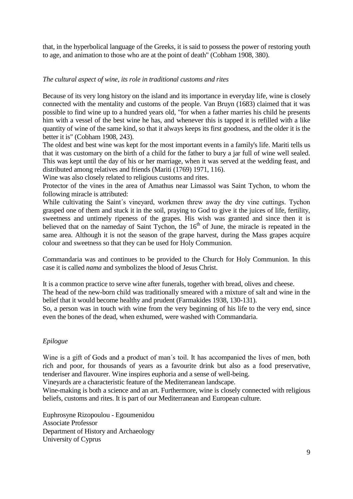that, in the hyperbolical language of the Greeks, it is said to possess the power of restoring youth to age, and animation to those who are at the point of death" (Cobham 1908, 380).

# *The cultural aspect of wine, its role in traditional customs and rites*

Because of its very long history on the island and its importance in everyday life, wine is closely connected with the mentality and customs of the people. Van Bruyn (1683) claimed that it was possible to find wine up to a hundred years old, "for when a father marries his child he presents him with a vessel of the best wine he has, and whenever this is tapped it is refilled with a like quantity of wine of the same kind, so that it always keeps its first goodness, and the older it is the better it is" (Cobham 1908, 243).

The oldest and best wine was kept for the most important events in a family's life. Mariti tells us that it was customary on the birth of a child for the father to bury a jar full of wine well sealed. This was kept until the day of his or her marriage, when it was served at the wedding feast, and distributed among relatives and friends (Mariti (1769) 1971, 116).

Wine was also closely related to religious customs and rites.

Protector of the vines in the area of Amathus near Limassol was Saint Tychon, to whom the following miracle is attributed:

While cultivating the Saint's vineyard, workmen threw away the dry vine cuttings. Tychon grasped one of them and stuck it in the soil, praying to God to give it the juices of life, fertility, sweetness and untimely ripeness of the grapes. His wish was granted and since then it is believed that on the nameday of Saint Tychon, the 16<sup>th</sup> of June, the miracle is repeated in the same area. Although it is not the season of the grape harvest, during the Mass grapes acquire colour and sweetness so that they can be used for Holy Communion.

Commandaria was and continues to be provided to the Church for Holy Communion. In this case it is called *nama* and symbolizes the blood of Jesus Christ.

It is a common practice to serve wine after funerals, together with bread, olives and cheese. The head of the new-born child was traditionally smeared with a mixture of salt and wine in the belief that it would become healthy and prudent (Farmakides 1938, 130-131).

So, a person was in touch with wine from the very beginning of his life to the very end, since even the bones of the dead, when exhumed, were washed with Commandaria.

## *Epilogue*

Wine is a gift of Gods and a product of man´s toil. It has accompanied the lives of men, both rich and poor, for thousands of years as a favourite drink but also as a food preservative, tenderiser and flavourer. Wine inspires euphoria and a sense of well-being.

Vineyards are a characteristic feature of the Mediterranean landscape.

Wine-making is both a science and an art. Furthermore, wine is closely connected with religious beliefs, customs and rites. It is part of our Mediterranean and European culture.

Euphrosyne Rizopoulou - Egoumenidou Associate Professor Department of History and Archaeology University of Cyprus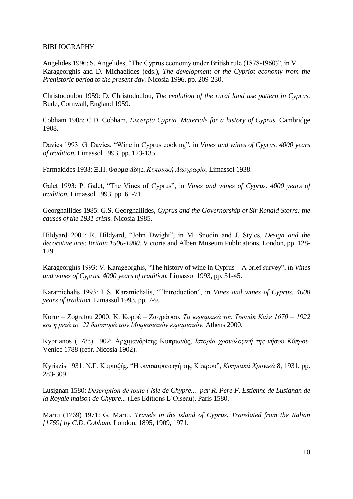### BIBLIOGRAPHY

Angelides 1996: S. Angelides, "The Cyprus economy under British rule (1878-1960)", in V. Karageorghis and D. Michaelides (eds.), *The development of the Cypriot economy from the Prehistoric period to the present day.* Nicosia 1996, pp. 209-230.

Christodoulou 1959: D. Christodoulou, *The evolution of the rural land use pattern in Cyprus.*  Bude, Cornwall, England 1959.

Cobham 1908: C.D. Cobham, *Excerpta Cypria. Materials for a history of Cyprus.* Cambridge 1908.

Davies 1993: G. Davies, "Wine in Cyprus cooking", in *Vines and wines of Cyprus. 4000 years of tradition.* Limassol 1993, pp. 123-135.

Farmakides 1938: Ξ.Π. Φαρμακίδης, *Κυπριακή Λαογραφία*. Limassol 1938.

Galet 1993: P. Galet, "The Vines of Cyprus", in *Vines and wines of Cyprus. 4000 years of tradition.* Limassol 1993, pp. 61-71.

Georghallides 1985: G.S. Georghallides, *Cyprus and the Governorship of Sir Ronald Storrs: the causes of the 1931 crisis.* Nicosia 1985.

Hildyard 2001: R. Hildyard, "John Dwight", in M. Snodin and J. Styles, *Design and the decorative arts: Britain 1500-1900.* Victoria and Albert Museum Publications. London, pp. 128- 129.

Karageorghis 1993: V. Karageorghis, "The history of wine in Cyprus – A brief survey", in *Vines and wines of Cyprus. 4000 years of tradition.* Limassol 1993, pp. 31-45.

Karamichalis 1993: L.S. Karamichalis, ""Introduction", in *Vines and wines of Cyprus. 4000 years of tradition.* Limassol 1993, pp. 7-9.

Korre – Zografou 2000: Κ. Κορρέ – Ζωγράφου, *Τα κεραμεικά του Τσανάκ Καλέ 1670 – 1922 και η μετά το '22 διασπορά των Μικρασιατών κεραμιστών.* Athens 2000.

Kyprianos (1788) 1902: Αρχιμανδρίτης Κυπριανός, *Ιστορία χρονολογική της νήσου Κύπρου*. Venice 1788 (repr. Nicosia 1902).

Kyriazis 1931: Ν.Γ. Κυριαζής, "Η οινοπαραγωγή της Κύπρου", Κυπριακά Χρονικά 8, 1931, pp. 283-309.

Lusignan 1580: *Description de toute l´isle de Chypre... par R. Pere F. Estienne de Lusignan de la Royale maison de Chypre...* (Les Editions L´Oiseau). Paris 1580.

Mariti (1769) 1971: G. Mariti, *Travels in the island of Cyprus. Translated from the Italian [1769] by C.D. Cobham.* London, 1895, 1909, 1971.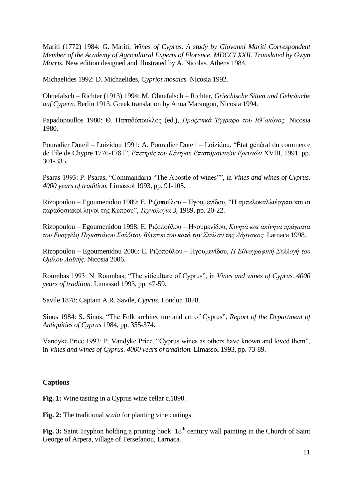Mariti (1772) 1984: G. Mariti, *Wines of Cyprus. A study by Giovanni Mariti Correspondent Member of the Academy of Agricultural Experts of Florence, MDCCLXXII. Translated by Gwyn Morris.* New edition designed and illustrated by A. Nicolas. Athens 1984.

Michaelides 1992: D. Michaelides, *Cypriot mosaics.* Nicosia 1992.

Ohnefalsch – Richter (1913) 1994: M. Ohnefalsch – Richter, *Griechische Sitten und Gebräuche auf Cypern.* Berlin 1913. Greek translation by Anna Marangou, Nicosia 1994.

Papadopoullos 1980: Θ. Παπαδόπουλλος (ed.), *Προζενικά Έγγραφα του ΙΘ'αιώνος*. Nicosia 1980.

Pouradier Duteil – Loizidou 1991: A. Pouradier Duteil – Loizidou, "État général du commerce de l'ile de Chypre 1776-1781", *Επετηρίς του Κέντρου Επιστημονικών Ερευνών* XVIII, 1991, pp. 301-335.

Psaras 1993: P. Psaras, "Commandaria "The Apostle of wines"", in *Vines and wines of Cyprus. 4000 years of tradition.* Limassol 1993, pp. 91-105.

Rizopoulou – Egoumenidou 1989: Ε. Ριζοπούλου – Ηγουμενίδου, "Η αμπελοκαλλιέργεια και οι παραδοζιακοί ληνοί ηης Κύπροσ", *Τεσνολογία* 3, 1989, pp. 20-22.

Rizopoulou – Egoumenidou 1998: Ε. Ριζοπούλου – Ηγουμενίδου, *Κινητά και ακίνητα πράγματα ηος Εςαγγέλη Πεπιζηιάνος Σούδιηος Βένεηος ηος καηά ηην Σκάλαν ηηρ Λάπνακορ.* Larnaca 1998.

Rizopoulou – Egoumenidou 2006: Ε. Ριζοπούλου – Ηγουμενίδου, *Η Εθνογραφική Συλλογή του Ομίλος Λαϊκήρ.* Nicosia 2006.

Roumbas 1993: N. Roumbas, "The viticulture of Cyprus", in *Vines and wines of Cyprus. 4000 years of tradition.* Limassol 1993, pp. 47-59.

Savile 1878: Captain A.R. Savile, *Cyprus.* London 1878.

Sinos 1984: S. Sinos, "The Folk architecture and art of Cyprus", *Report of the Department of Antiquities of Cyprus* 1984, pp. 355-374.

Vandyke Price 1993: P. Vandyke Price, "Cyprus wines as others have known and loved them", in *Vines and wines of Cyprus. 4000 years of tradition.* Limassol 1993, pp. 73-89.

### **Captions**

**Fig. 1:** Wine tasting in a Cyprus wine cellar c.1890.

**Fig. 2:** The traditional *scala* for planting vine cuttings.

Fig. 3: Saint Tryphon holding a pruning hook. 18<sup>th</sup> century wall painting in the Church of Saint George of Arpera, village of Tersefanou, Larnaca.